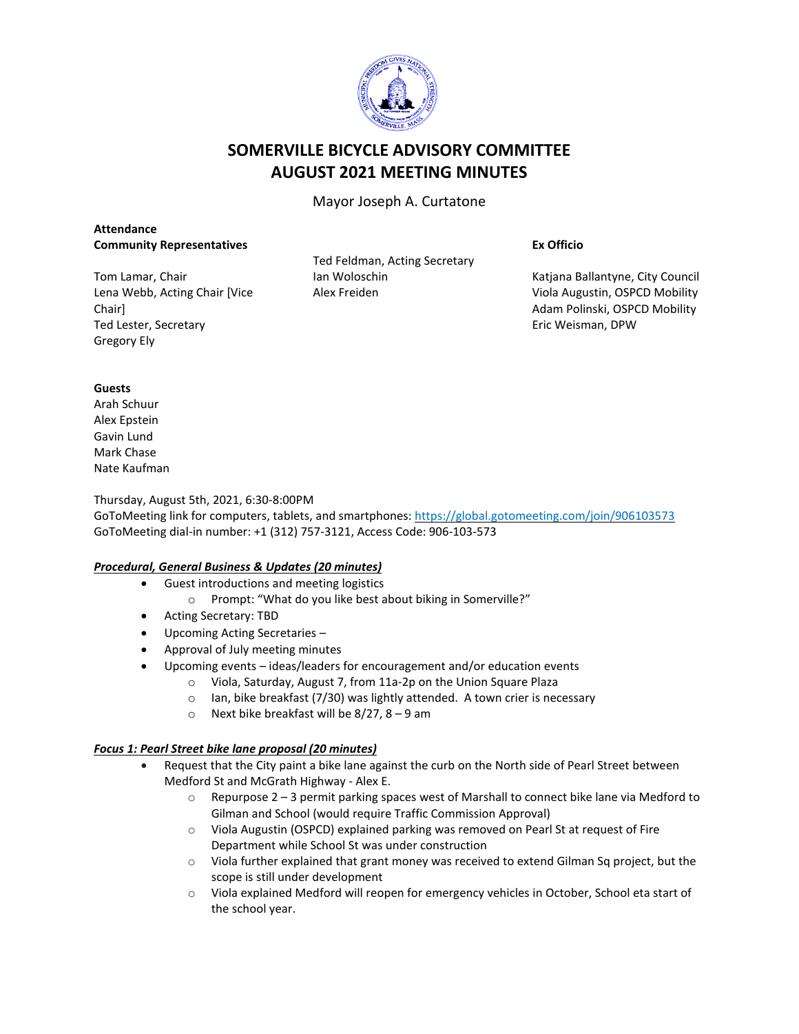

# **SOMERVILLE BICYCLE ADVISORY COMMITTEE AUGUST 2021 MEETING MINUTES**

Mayor Joseph A. Curtatone

## **Attendance Community Representatives**

Tom Lamar, Chair Lena Webb, Acting Chair [Vice Chair] Ted Lester, Secretary Gregory Ely

Ted Feldman, Acting Secretary Ian Woloschin Alex Freiden

#### **Ex Officio**

Katjana Ballantyne, City Council Viola Augustin, OSPCD Mobility Adam Polinski, OSPCD Mobility Eric Weisman, DPW

## **Guests**

Arah Schuur Alex Epstein Gavin Lund Mark Chase Nate Kaufman

## Thursday, August 5th, 2021, 6:30-8:00PM

GoToMeeting link for computers, tablets, and smartphones: <https://global.gotomeeting.com/join/906103573> GoToMeeting dial-in number: +1 (312) 757-3121, Access Code: 906-103-573

## *Procedural, General Business & Updates (20 minutes)*

- Guest introductions and meeting logistics
	- o Prompt: "What do you like best about biking in Somerville?"
- Acting Secretary: TBD
- Upcoming Acting Secretaries –
- Approval of July meeting minutes
	- Upcoming events ideas/leaders for encouragement and/or education events
		- o Viola, Saturday, August 7, from 11a-2p on the Union Square Plaza
			- o Ian, bike breakfast (7/30) was lightly attended. A town crier is necessary
			- o Next bike breakfast will be 8/27, 8 9 am

#### *Focus 1: Pearl Street bike lane proposal (20 minutes)*

- Request that the City paint a bike lane against the curb on the North side of Pearl Street between Medford St and McGrath Highway - Alex E.
	- $\circ$  Repurpose 2 3 permit parking spaces west of Marshall to connect bike lane via Medford to Gilman and School (would require Traffic Commission Approval)
	- o Viola Augustin (OSPCD) explained parking was removed on Pearl St at request of Fire Department while School St was under construction
	- o Viola further explained that grant money was received to extend Gilman Sq project, but the scope is still under development
	- $\circ$  Viola explained Medford will reopen for emergency vehicles in October, School eta start of the school year.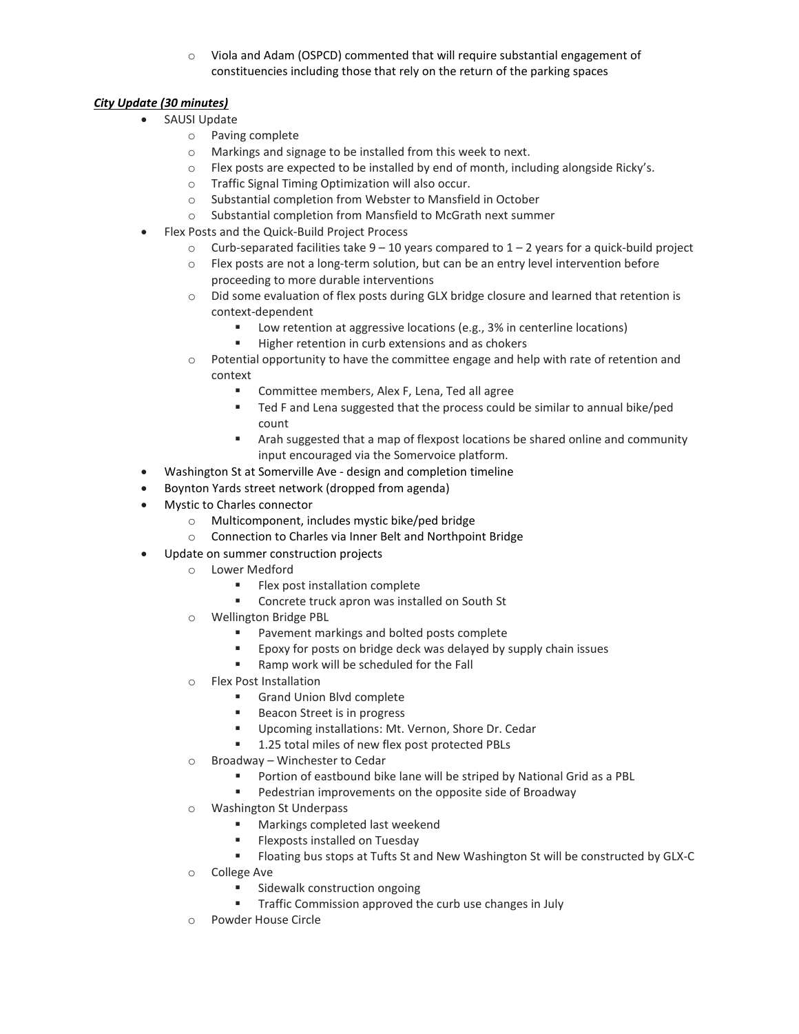$\circ$  Viola and Adam (OSPCD) commented that will require substantial engagement of constituencies including those that rely on the return of the parking spaces

## *City Update (30 minutes)*

- SAUSI Update
	- o Paving complete
		- o Markings and signage to be installed from this week to next.
	- $\circ$  Flex posts are expected to be installed by end of month, including alongside Ricky's.
	- o Traffic Signal Timing Optimization will also occur.
	- o Substantial completion from Webster to Mansfield in October
	- o Substantial completion from Mansfield to McGrath next summer
- Flex Posts and the Quick-Build Project Process
	- $\circ$  Curb-separated facilities take 9 10 years compared to 1 2 years for a quick-build project
	- o Flex posts are not a long-term solution, but can be an entry level intervention before proceeding to more durable interventions
	- o Did some evaluation of flex posts during GLX bridge closure and learned that retention is context-dependent
		- Low retention at aggressive locations (e.g., 3% in centerline locations)
		- Higher retention in curb extensions and as chokers
	- $\circ$  Potential opportunity to have the committee engage and help with rate of retention and context
		- **EXECOMMITTEE MEMBERS, Alex F, Lena, Ted all agree**
		- **Ted F and Lena suggested that the process could be similar to annual bike/ped** count
		- Arah suggested that a map of flexpost locations be shared online and community input encouraged via the Somervoice platform.
- Washington St at Somerville Ave design and completion timeline
- Boynton Yards street network (dropped from agenda)
- Mystic to Charles connector
	- o Multicomponent, includes mystic bike/ped bridge
	- o Connection to Charles via Inner Belt and Northpoint Bridge
- Update on summer construction projects
	- o Lower Medford
		- **Flex post installation complete**
		- **EXECONCRETE CONCRETE THE CONCRETE THE CONCRETE ST**
	- o Wellington Bridge PBL
		- **Pavement markings and bolted posts complete**
		- **EPOXY** for posts on bridge deck was delayed by supply chain issues
		- Ramp work will be scheduled for the Fall
	- o Flex Post Installation
		- **Grand Union Blvd complete**
		- Beacon Street is in progress
		- Upcoming installations: Mt. Vernon, Shore Dr. Cedar
		- 1.25 total miles of new flex post protected PBLs
	- o Broadway Winchester to Cedar
		- **Portion of eastbound bike lane will be striped by National Grid as a PBL**
		- **Pedestrian improvements on the opposite side of Broadway**
	- o Washington St Underpass
		- **Markings completed last weekend**
		- **Flexposts installed on Tuesday**
		- Floating bus stops at Tufts St and New Washington St will be constructed by GLX-C
	- o College Ave
		- **Sidewalk construction ongoing**
		- **Traffic Commission approved the curb use changes in July**
	- o Powder House Circle